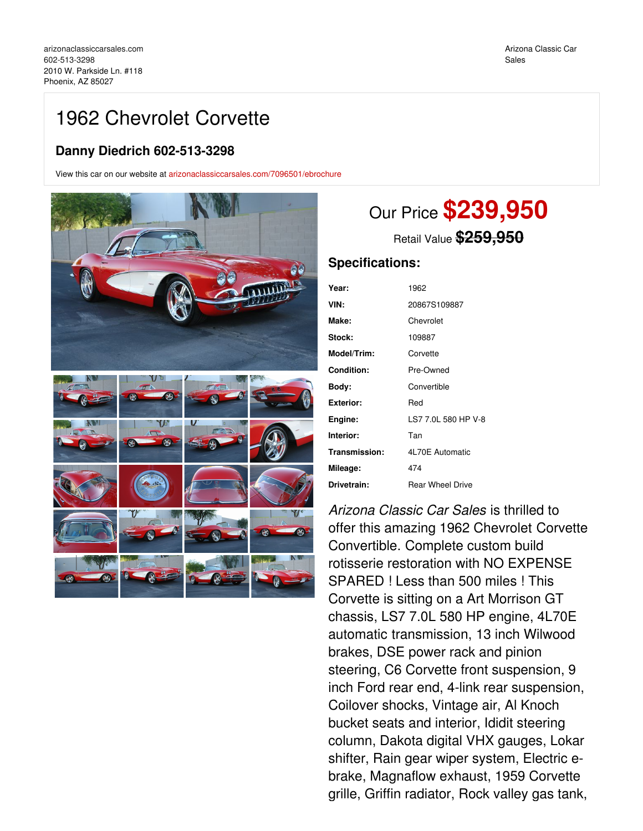## 1962 Chevrolet Corvette

## **Danny Diedrich 602-513-3298**

View this car on our website at [arizonaclassiccarsales.com/7096501/ebrochure](https://arizonaclassiccarsales.com/vehicle/7096501/1962-chevrolet-corvette-phoenix-az-85027/7096501/ebrochure)



## Our Price **\$239,950**

Retail Value **\$259,950**

## **Specifications:**

| Year:         | 1962                    |
|---------------|-------------------------|
| VIN:          | 20867S109887            |
| Make:         | Chevrolet               |
| Stock:        | 109887                  |
| Model/Trim:   | Corvette                |
| Condition:    | Pre-Owned               |
| Body:         | Convertible             |
| Exterior:     | Red                     |
| Engine:       | LS7 7.0L 580 HP V-8     |
| Interior:     | Tan                     |
| Transmission: | 4L70E Automatic         |
| Mileage:      | 474                     |
| Drivetrain:   | <b>Rear Wheel Drive</b> |
|               |                         |

*Arizona Classic Car Sales* is thrilled to offer this amazing 1962 Chevrolet Corvette Convertible. Complete custom build rotisserie restoration with NO EXPENSE SPARED ! Less than 500 miles ! This Corvette is sitting on a Art Morrison GT chassis, LS7 7.0L 580 HP engine, 4L70E automatic transmission, 13 inch Wilwood brakes, DSE power rack and pinion steering, C6 Corvette front suspension, 9 inch Ford rear end, 4-link rear suspension, Coilover shocks, Vintage air, Al Knoch bucket seats and interior, Ididit steering column, Dakota digital VHX gauges, Lokar shifter, Rain gear wiper system, Electric ebrake, Magnaflow exhaust, 1959 Corvette grille, Griffin radiator, Rock valley gas tank,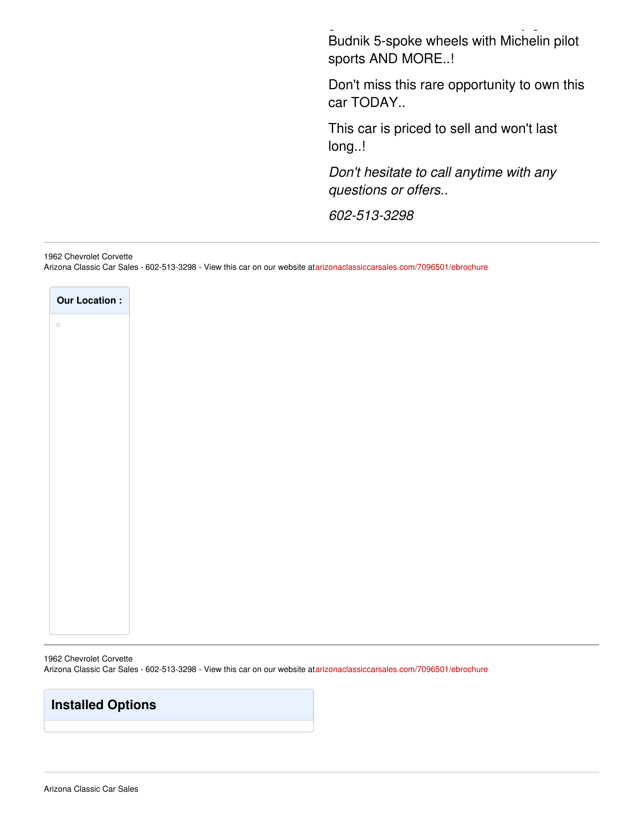Budnik 5-spoke wheels with Michelin pilot sports AND MORE..!

grille, Griffin radiator, Rock valley gas tank,

Don't miss this rare opportunity to own this car TODAY..

This car is priced to sell and won't last long..!

*Don't hesitate to call anytime with any questions or offers..*

*602-513-3298*

1962 Chevrolet Corvette

Arizona Classic Car Sales - 602-513-3298 - View this car on our website at[arizonaclassiccarsales.com/7096501/ebrochure](https://arizonaclassiccarsales.com/vehicle/7096501/1962-chevrolet-corvette-phoenix-az-85027/7096501/ebrochure)

| <b>Our Location:</b> |
|----------------------|
| $\Box$               |
|                      |
|                      |
|                      |
|                      |
|                      |
|                      |
|                      |
|                      |
|                      |
|                      |
|                      |
|                      |
|                      |
|                      |
|                      |
|                      |
|                      |
|                      |

1962 Chevrolet Corvette Arizona Classic Car Sales - 602-513-3298 - View this car on our website at[arizonaclassiccarsales.com/7096501/ebrochure](https://arizonaclassiccarsales.com/vehicle/7096501/1962-chevrolet-corvette-phoenix-az-85027/7096501/ebrochure)